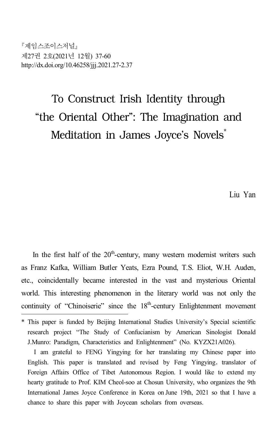제임스조이스저널 제27권 2호(2021년 12월) 37-60 http://dx.doi.org/10.46258/jjj.2021.27-2.37

# To Construct Irish Identity through "the Oriental Other": The Imagination and Meditation in James Joyce's Novels<sup>\*</sup>

Liu Yan

In the first half of the  $20<sup>th</sup>$ -century, many western modernist writers such as Franz Kafka, William Butler Yeats, Ezra Pound, T.S. Eliot, W.H. Auden, etc., coincidentally became interested in the vast and mysterious Oriental world. This interesting phenomenon in the literary world was not only the continuity of "Chinoiserie" since the 18<sup>th</sup>-century Enlightenment movement

<sup>\*</sup> This paper is funded by Beijing International Studies University's Special scientific research project "The Study of Confucianism by American Sinologist Donald J.Munro: Paradigm, Characteristics and Enlightenment" (No. KYZX21A026).

I am grateful to FENG Yingying for her translating my Chinese paper into English. This paper is translated and revised by Feng Yingying, translator of Foreign Affairs Office of Tibet Autonomous Region. I would like to extend my hearty gratitude to Prof. KIM Cheol-soo at Chosun University, who organizes the 9th International James Joyce Conference in Korea on June 19th, 2021 so that I have a chance to share this paper with Joycean scholars from overseas.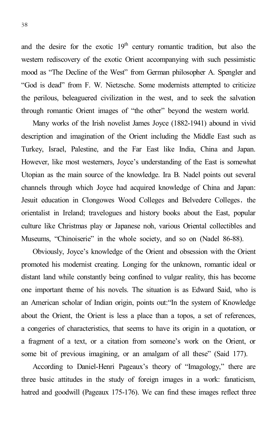and the desire for the exotic 19<sup>th</sup> century romantic tradition, but also the western rediscovery of the exotic Orient accompanying with such pessimistic mood as "The Decline of the West" from German philosopher A. Spengler and "God is dead" from F. W. Nietzsche. Some modernists attempted to criticize the perilous, beleaguered civilization in the west, and to seek the salvation through romantic Orient images of "the other" beyond the western world.

Many works of the Irish novelist James Joyce (1882-1941) abound in vivid description and imagination of the Orient including the Middle East such as Turkey, Israel, Palestine, and the Far East like India, China and Japan. However, like most westerners, Joyce's understanding of the East is somewhat Utopian as the main source of the knowledge. Ira B. Nadel points out several channels through which Joyce had acquired knowledge of China and Japan: Jesuit education in Clongowes Wood Colleges and Belvedere Colleges, the orientalist in Ireland; travelogues and history books about the East, popular culture like Christmas play or Japanese noh, various Oriental collectibles and Museums, "Chinoiserie" in the whole society, and so on (Nadel 86-88).

Obviously, Joyce's knowledge of the Orient and obsession with the Orient promoted his modernist creating. Longing for the unknown, romantic ideal or distant land while constantly being confined to vulgar reality, this has become one important theme of his novels. The situation is as Edward Said, who is an American scholar of Indian origin, points out:"In the system of Knowledge about the Orient, the Orient is less a place than a topos, a set of references, a congeries of characteristics, that seems to have its origin in a quotation, or a fragment of a text, or a citation from someone's work on the Orient, or some bit of previous imagining, or an amalgam of all these" (Said 177).

According to Daniel-Henri Pageaux's theory of "Imagology," there are three basic attitudes in the study of foreign images in a work: fanaticism, hatred and goodwill (Pageaux 175-176). We can find these images reflect three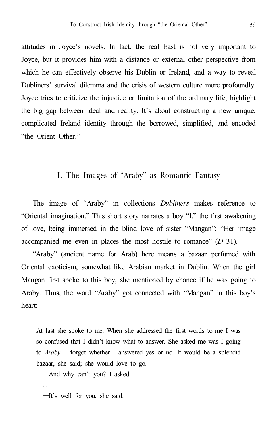attitudes in Joyce's novels. In fact, the real East is not very important to Joyce, but it provides him with a distance or external other perspective from which he can effectively observe his Dublin or Ireland, and a way to reveal Dubliners' survival dilemma and the crisis of western culture more profoundly. Joyce tries to criticize the injustice or limitation of the ordinary life, highlight the big gap between ideal and reality. It's about constructing a new unique, complicated Ireland identity through the borrowed, simplified, and encoded "the Orient Other."

## I. The Images of "Araby" as Romantic Fantasy

The image of "Araby" in collections *Dubliners* makes reference to "Oriental imagination." This short story narrates a boy "I," the first awakening of love, being immersed in the blind love of sister "Mangan": "Her image accompanied me even in places the most hostile to romance" (*D* 31).

"Araby" (ancient name for Arab) here means a bazaar perfumed with Oriental exoticism, somewhat like Arabian market in Dublin. When the girl Mangan first spoke to this boy, she mentioned by chance if he was going to Araby. Thus, the word "Araby" got connected with "Mangan" in this boy's heart:

At last she spoke to me. When she addressed the first words to me I was so confused that I didn't know what to answer. She asked me was I going to *Araby*. I forgot whether I answered yes or no. It would be a splendid bazaar, she said; she would love to go.

―And why can't you? I asked.

―It's well for you, she said.

...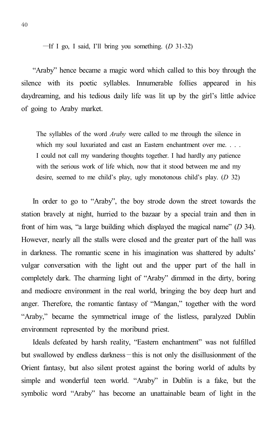―If I go, I said, I'll bring you something. (*D* 31-32)

"Araby" hence became a magic word which called to this boy through the silence with its poetic syllables. Innumerable follies appeared in his daydreaming, and his tedious daily life was lit up by the girl's little advice of going to Araby market.

The syllables of the word *Araby* were called to me through the silence in which my soul luxuriated and cast an Eastern enchantment over me. . . . I could not call my wandering thoughts together. I had hardly any patience with the serious work of life which, now that it stood between me and my desire, seemed to me child's play, ugly monotonous child's play. (*D* 32)

In order to go to "Araby", the boy strode down the street towards the station bravely at night, hurried to the bazaar by a special train and then in front of him was, "a large building which displayed the magical name" (*D* 34). However, nearly all the stalls were closed and the greater part of the hall was in darkness. The romantic scene in his imagination was shattered by adults' vulgar conversation with the light out and the upper part of the hall in completely dark. The charming light of "Araby" dimmed in the dirty, boring and mediocre environment in the real world, bringing the boy deep hurt and anger. Therefore, the romantic fantasy of "Mangan," together with the word "Araby," became the symmetrical image of the listless, paralyzed Dublin environment represented by the moribund priest.

Ideals defeated by harsh reality, "Eastern enchantment" was not fulfilled but swallowed by endless darkness—this is not only the disillusionment of the Orient fantasy, but also silent protest against the boring world of adults by simple and wonderful teen world. "Araby" in Dublin is a fake, but the symbolic word "Araby" has become an unattainable beam of light in the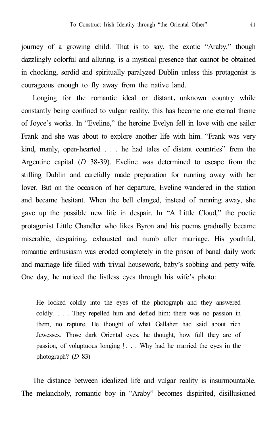journey of a growing child. That is to say, the exotic "Araby," though dazzlingly colorful and alluring, is a mystical presence that cannot be obtained in chocking, sordid and spiritually paralyzed Dublin unless this protagonist is courageous enough to fly away from the native land.

Longing for the romantic ideal or distant, unknown country while constantly being confined to vulgar reality, this has become one eternal theme of Joyce's works. In "Eveline," the heroine Evelyn fell in love with one sailor Frank and she was about to explore another life with him. "Frank was very kind, manly, open-hearted . . . he had tales of distant countries" from the Argentine capital (*D* 38-39). Eveline was determined to escape from the stifling Dublin and carefully made preparation for running away with her lover. But on the occasion of her departure, Eveline wandered in the station and became hesitant. When the bell clanged, instead of running away, she gave up the possible new life in despair. In "A Little Cloud," the poetic protagonist Little Chandler who likes Byron and his poems gradually became miserable, despairing, exhausted and numb after marriage. His youthful, romantic enthusiasm was eroded completely in the prison of banal daily work and marriage life filled with trivial housework, baby's sobbing and petty wife. One day, he noticed the listless eyes through his wife's photo:

He looked coldly into the eyes of the photograph and they answered coldly. . . . They repelled him and defied him: there was no passion in them, no rapture. He thought of what Gallaher had said about rich Jewesses. Those dark Oriental eyes, he thought, how full they are of passion, of voluptuous longing!. . . Why had he married the eyes in the photograph? (*D* 83)

The distance between idealized life and vulgar reality is insurmountable. The melancholy, romantic boy in "Araby" becomes dispirited, disillusioned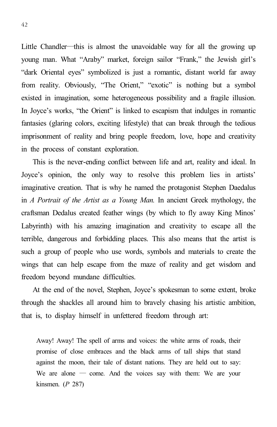Little Chandler―this is almost the unavoidable way for all the growing up young man. What "Araby" market, foreign sailor "Frank," the Jewish girl's "dark Oriental eyes" symbolized is just a romantic, distant world far away from reality. Obviously, "The Orient," "exotic" is nothing but a symbol existed in imagination, some heterogeneous possibility and a fragile illusion. In Joyce's works, "the Orient" is linked to escapism that indulges in romantic fantasies (glaring colors, exciting lifestyle) that can break through the tedious imprisonment of reality and bring people freedom, love, hope and creativity in the process of constant exploration.

This is the never-ending conflict between life and art, reality and ideal. In Joyce's opinion, the only way to resolve this problem lies in artists' imaginative creation. That is why he named the protagonist Stephen Daedalus in *A Portrait of the Artist as a Young Man.* In ancient Greek mythology, the craftsman Dedalus created feather wings (by which to fly away King Minos' Labyrinth) with his amazing imagination and creativity to escape all the terrible, dangerous and forbidding places. This also means that the artist is such a group of people who use words, symbols and materials to create the wings that can help escape from the maze of reality and get wisdom and freedom beyond mundane difficulties.

At the end of the novel, Stephen, Joyce's spokesman to some extent, broke through the shackles all around him to bravely chasing his artistic ambition, that is, to display himself in unfettered freedom through art:

Away! Away! The spell of arms and voices: the white arms of roads, their promise of close embraces and the black arms of tall ships that stand against the moon, their tale of distant nations. They are held out to say: We are alone  $-$  come. And the voices say with them: We are your kinsmen. (*P* 287)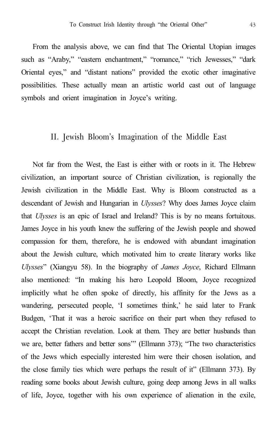From the analysis above, we can find that The Oriental Utopian images such as "Araby," "eastern enchantment," "romance," "rich Jewesses," "dark Oriental eyes," and "distant nations" provided the exotic other imaginative possibilities. These actually mean an artistic world cast out of language symbols and orient imagination in Joyce's writing.

#### II. Jewish Bloom's Imagination of the Middle East

Not far from the West, the East is either with or roots in it. The Hebrew civilization, an important source of Christian civilization, is regionally the Jewish civilization in the Middle East. Why is Bloom constructed as a descendant of Jewish and Hungarian in *Ulysses*? Why does James Joyce claim that *Ulysses* is an epic of Israel and Ireland? This is by no means fortuitous. James Joyce in his youth knew the suffering of the Jewish people and showed compassion for them, therefore, he is endowed with abundant imagination about the Jewish culture, which motivated him to create literary works like *Ulysses*" (Xiangyu 58). In the biography of *James Joyce*, Richard Ellmann also mentioned: "In making his hero Leopold Bloom, Joyce recognized implicitly what he often spoke of directly, his affinity for the Jews as a wandering, persecuted people, 'I sometimes think,' he said later to Frank Budgen, 'That it was a heroic sacrifice on their part when they refused to accept the Christian revelation. Look at them. They are better husbands than we are, better fathers and better sons'" (Ellmann 373); "The two characteristics of the Jews which especially interested him were their chosen isolation, and the close family ties which were perhaps the result of it" (Ellmann 373). By reading some books about Jewish culture, going deep among Jews in all walks of life, Joyce, together with his own experience of alienation in the exile,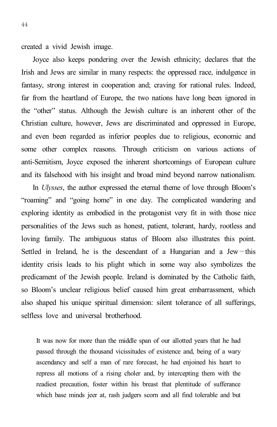created a vivid Jewish image.

Joyce also keeps pondering over the Jewish ethnicity; declares that the Irish and Jews are similar in many respects: the oppressed race, indulgence in fantasy, strong interest in cooperation and; craving for rational rules. Indeed, far from the heartland of Europe, the two nations have long been ignored in the "other" status. Although the Jewish culture is an inherent other of the Christian culture, however, Jews are discriminated and oppressed in Europe, and even been regarded as inferior peoples due to religious, economic and some other complex reasons. Through criticism on various actions of anti-Semitism, Joyce exposed the inherent shortcomings of European culture and its falsehood with his insight and broad mind beyond narrow nationalism.

In *Ulysses*, the author expressed the eternal theme of love through Bloom's "roaming" and "going home" in one day. The complicated wandering and exploring identity as embodied in the protagonist very fit in with those nice personalities of the Jews such as honest, patient, tolerant, hardy, rootless and loving family. The ambiguous status of Bloom also illustrates this point. Settled in Ireland, he is the descendant of a Hungarian and a Jew—this identity crisis leads to his plight which in some way also symbolizes the predicament of the Jewish people. Ireland is dominated by the Catholic faith, so Bloom's unclear religious belief caused him great embarrassment, which also shaped his unique spiritual dimension: silent tolerance of all sufferings, selfless love and universal brotherhood.

It was now for more than the middle span of our allotted years that he had passed through the thousand vicissitudes of existence and, being of a wary ascendancy and self a man of rare forecast, he had enjoined his heart to repress all motions of a rising choler and, by intercepting them with the readiest precaution, foster within his breast that plentitude of sufferance which base minds jeer at, rash judgers scorn and all find tolerable and but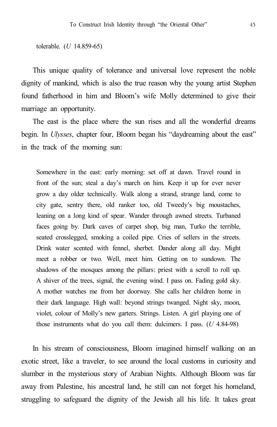tolerable. (*U* 14.859-65)

This unique quality of tolerance and universal love represent the noble dignity of mankind, which is also the true reason why the young artist Stephen found fatherhood in him and Bloom's wife Molly determined to give their marriage an opportunity.

The east is the place where the sun rises and all the wonderful dreams begin. In *Ulysses*, chapter four, Bloom began his "daydreaming about the east" in the track of the morning sun:

Somewhere in the east: early morning: set off at dawn. Travel round in front of the sun; steal a day's march on him. Keep it up for ever never grow a day older technically. Walk along a strand, strange land, come to city gate, sentry there, old ranker too, old Tweedy's big moustaches, leaning on a long kind of spear. Wander through awned streets. Turbaned faces going by. Dark caves of carpet shop, big man, Turko the terrible, seated crosslegged, smoking a coiled pipe. Cries of sellers in the streets. Drink water scented with fennel, sherbet. Dander along all day. Might meet a robber or two. Well, meet him. Getting on to sundown. The shadows of the mosques among the pillars: priest with a scroll to roll up. A shiver of the trees, signal, the evening wind. I pass on. Fading gold sky. A mother watches me from her doorway. She calls her children home in their dark language. High wall: beyond strings twanged. Night sky, moon, violet, colour of Molly's new garters. Strings. Listen. A girl playing one of those instruments what do you call them: dulcimers. I pass. (*U* 4.84-98)

In his stream of consciousness, Bloom imagined himself walking on an exotic street, like a traveler, to see around the local customs in curiosity and slumber in the mysterious story of Arabian Nights. Although Bloom was far away from Palestine, his ancestral land, he still can not forget his homeland, struggling to safeguard the dignity of the Jewish all his life. It takes great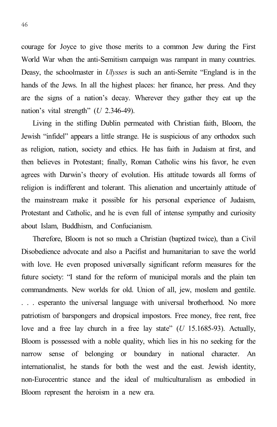courage for Joyce to give those merits to a common Jew during the First World War when the anti-Semitism campaign was rampant in many countries. Deasy, the schoolmaster in *Ulysses* is such an anti-Semite "England is in the hands of the Jews. In all the highest places: her finance, her press. And they are the signs of a nation's decay. Wherever they gather they eat up the nation's vital strength" (*U* 2.346-49).

Living in the stifling Dublin permeated with Christian faith, Bloom, the Jewish "infidel" appears a little strange. He is suspicious of any orthodox such as religion, nation, society and ethics. He has faith in Judaism at first, and then believes in Protestant; finally, Roman Catholic wins his favor, he even agrees with Darwin's theory of evolution. His attitude towards all forms of religion is indifferent and tolerant. This alienation and uncertainly attitude of the mainstream make it possible for his personal experience of Judaism, Protestant and Catholic, and he is even full of intense sympathy and curiosity about Islam, Buddhism, and Confucianism.

Therefore, Bloom is not so much a Christian (baptized twice), than a Civil Disobedience advocate and also a Pacifist and humanitarian to save the world with love. He even proposed universally significant reform measures for the future society: "I stand for the reform of municipal morals and the plain ten commandments. New worlds for old. Union of all, jew, moslem and gentile. . . . esperanto the universal language with universal brotherhood. No more patriotism of barspongers and dropsical impostors. Free money, free rent, free love and a free lay church in a free lay state" (*U* 15.1685-93). Actually, Bloom is possessed with a noble quality, which lies in his no seeking for the narrow sense of belonging or boundary in national character. An internationalist, he stands for both the west and the east. Jewish identity, non-Eurocentric stance and the ideal of multiculturalism as embodied in Bloom represent the heroism in a new era.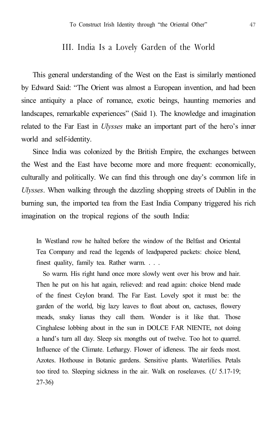#### III. India Is a Lovely Garden of the World

This general understanding of the West on the East is similarly mentioned by Edward Said: "The Orient was almost a European invention, and had been since antiquity a place of romance, exotic beings, haunting memories and landscapes, remarkable experiences" (Said 1). The knowledge and imagination related to the Far East in *Ulysses* make an important part of the hero's inner world and self-identity.

Since India was colonized by the British Empire, the exchanges between the West and the East have become more and more frequent: economically, culturally and politically. We can find this through one day's common life in *Ulysses*. When walking through the dazzling shopping streets of Dublin in the burning sun, the imported tea from the East India Company triggered his rich imagination on the tropical regions of the south India:

In Westland row he halted before the window of the Belfast and Oriental Tea Company and read the legends of leadpapered packets: choice blend, finest quality, family tea. Rather warm. . . .

So warm. His right hand once more slowly went over his brow and hair. Then he put on his hat again, relieved: and read again: choice blend made of the finest Ceylon brand. The Far East. Lovely spot it must be: the garden of the world, big lazy leaves to float about on, cactuses, flowery meads, snaky lianas they call them. Wonder is it like that. Those Cinghalese lobbing about in the sun in DOLCE FAR NIENTE, not doing a hand's turn all day. Sleep six mongths out of twelve. Too hot to quarrel. Influence of the Climate. Lethargy. Flower of idleness. The air feeds most. Azotes. Hothouse in Botanic gardens. Sensitive plants. Waterlilies. Petals too tired to. Sleeping sickness in the air. Walk on roseleaves. (*U* 5.17-19; 27-36)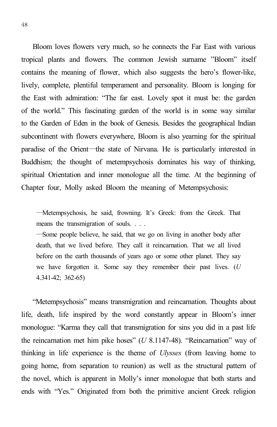Bloom loves flowers very much, so he connects the Far East with various tropical plants and flowers. The common Jewish surname "Bloom" itself contains the meaning of flower, which also suggests the hero's flower-like, lively, complete, plentiful temperament and personality. Bloom is longing for the East with admiration: "The far east. Lovely spot it must be: the garden of the world." This fascinating garden of the world is in some way similar to the Garden of Eden in the book of Genesis. Besides the geographical Indian subcontinent with flowers everywhere, Bloom is also yearning for the spiritual paradise of the Orient―the state of Nirvana. He is particularly interested in Buddhism; the thought of metempsychosis dominates his way of thinking, spiritual Orientation and inner monologue all the time. At the beginning of Chapter four, Molly asked Bloom the meaning of Metempsychosis:

―Metempsychosis, he said, frowning. It's Greek: from the Greek. That means the transmigration of souls. . . .

―Some people believe, he said, that we go on living in another body after death, that we lived before. They call it reincarnation. That we all lived before on the earth thousands of years ago or some other planet. They say we have forgotten it. Some say they remember their past lives. (*U* 4.341-42; 362-65)

"Metempsychosis" means transmigration and reincarnation. Thoughts about life, death, life inspired by the word constantly appear in Bloom's inner monologue: "Karma they call that transmigration for sins you did in a past life the reincarnation met him pike hoses" (*U* 8.1147-48). "Reincarnation" way of thinking in life experience is the theme of *Ulysses* (from leaving home to going home, from separation to reunion) as well as the structural pattern of the novel, which is apparent in Molly's inner monologue that both starts and ends with "Yes." Originated from both the primitive ancient Greek religion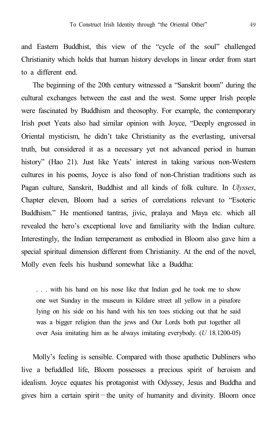and Eastern Buddhist, this view of the "cycle of the soul" challenged Christianity which holds that human history develops in linear order from start to a different end.

The beginning of the 20th century witnessed a "Sanskrit boom" during the cultural exchanges between the east and the west. Some upper Irish people were fascinated by Buddhism and theosophy. For example, the contemporary Irish poet Yeats also had similar opinion with Joyce, "Deeply engrossed in Oriental mysticism, he didn't take Christianity as the everlasting, universal truth, but considered it as a necessary yet not advanced period in human history" (Hao 21). Just like Yeats' interest in taking various non-Western cultures in his poems, Joyce is also fond of non-Christian traditions such as Pagan culture, Sanskrit, Buddhist and all kinds of folk culture. In *Ulysses*, Chapter eleven, Bloom had a series of correlations relevant to "Esoteric Buddhism." He mentioned tantras, jivic, pralaya and Maya etc. which all revealed the hero's exceptional love and familiarity with the Indian culture. Interestingly, the Indian temperament as embodied in Bloom also gave him a special spiritual dimension different from Christianity. At the end of the novel, Molly even feels his husband somewhat like a Buddha:

. . . with his hand on his nose like that Indian god he took me to show one wet Sunday in the museum in Kildare street all yellow in a pinafore lying on his side on his hand with his ten toes sticking out that he said was a bigger religion than the jews and Our Lords both put together all over Asia imitating him as he always imitating everybody. (*U* 18.1200-05)

Molly's feeling is sensible. Compared with those apathetic Dubliners who live a befuddled life, Bloom possesses a precious spirit of heroism and idealism. Joyce equates his protagonist with Odyssey, Jesus and Buddha and gives him a certain spirit—the unity of humanity and divinity. Bloom once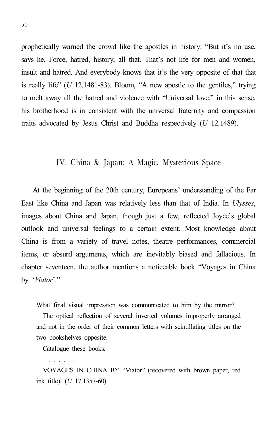prophetically warned the crowd like the apostles in history: "But it's no use, says he. Force, hatred, history, all that. That's not life for men and women, insult and hatred. And everybody knows that it's the very opposite of that that is really life" (*U* 12.1481-83). Bloom, "A new apostle to the gentiles," trying to melt away all the hatred and violence with "Universal love," in this sense, his brotherhood is in consistent with the universal fraternity and compassion traits advocated by Jesus Christ and Buddha respectively (*U* 12.1489).

### IV. China & Japan: A Magic, Mysterious Space

At the beginning of the 20th century, Europeans' understanding of the Far East like China and Japan was relatively less than that of India. In *Ulysses*, images about China and Japan, though just a few, reflected Joyce's global outlook and universal feelings to a certain extent. Most knowledge about China is from a variety of travel notes, theatre performances, commercial items, or absurd arguments, which are inevitably biased and fallacious. In chapter seventeen, the author mentions a noticeable book "Voyages in China by '*Viator*'."

What final visual impression was communicated to him by the mirror?

The optical reflection of several inverted volumes improperly arranged and not in the order of their common letters with scintillating titles on the two bookshelves opposite.

Catalogue these books.

. . . . . . VOYAGES IN CHINA BY "Viator" (recovered with brown paper, red ink title). (*U* 17.1357-60)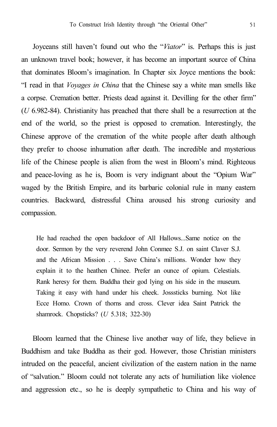Joyceans still haven't found out who the "*Viator*" is. Perhaps this is just an unknown travel book; however, it has become an important source of China that dominates Bloom's imagination. In Chapter six Joyce mentions the book: "I read in that *Voyages in China* that the Chinese say a white man smells like a corpse. Cremation better. Priests dead against it. Devilling for the other firm" (*U* 6.982-84). Christianity has preached that there shall be a resurrection at the end of the world, so the priest is opposed to cremation. Interestingly, the Chinese approve of the cremation of the white people after death although they prefer to choose inhumation after death. The incredible and mysterious life of the Chinese people is alien from the west in Bloom's mind. Righteous and peace-loving as he is, Boom is very indignant about the "Opium War" waged by the British Empire, and its barbaric colonial rule in many eastern countries. Backward, distressful China aroused his strong curiosity and compassion.

He had reached the open backdoor of All Hallows...Same notice on the door. Sermon by the very reverend John Conmee S.J. on saint Claver S.J. and the African Mission . . . Save China's millions. Wonder how they explain it to the heathen Chinee. Prefer an ounce of opium. Celestials. Rank heresy for them. Buddha their god lying on his side in the museum. Taking it easy with hand under his cheek. Josssticks burning. Not like Ecce Homo. Crown of thorns and cross. Clever idea Saint Patrick the shamrock. Chopsticks? (*U* 5.318; 322-30)

Bloom learned that the Chinese live another way of life, they believe in Buddhism and take Buddha as their god. However, those Christian ministers intruded on the peaceful, ancient civilization of the eastern nation in the name of "salvation." Bloom could not tolerate any acts of humiliation like violence and aggression etc., so he is deeply sympathetic to China and his way of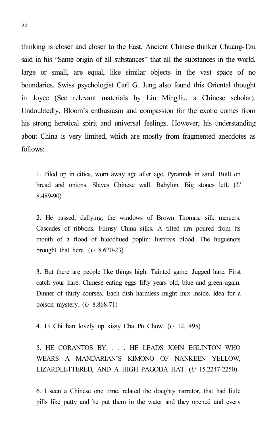thinking is closer and closer to the East. Ancient Chinese thinker Chuang-Tzu said in his "Same origin of all substances" that all the substances in the world, large or small, are equal, like similar objects in the vast space of no boundaries. Swiss psychologist Carl G. Jung also found this Oriental thought in Joyce (See relevant materials by Liu MingJiu, a Chinese scholar). Undoubtedly, Bloom's enthusiasm and compassion for the exotic comes from his strong heretical spirit and universal feelings. However, his understanding about China is very limited, which are mostly from fragmented anecdotes as follows:

1. Piled up in cities, worn away age after age. Pyramids in sand. Built on bread and onions. Slaves Chinese wall. Babylon. Big stones left. (*U* 8.489-90)

2. He passed, dallying, the windows of Brown Thomas, silk mercers. Cascades of ribbons. Flimsy China silks. A tilted urn poured from its mouth of a flood of bloodhued poplin: lustrous blood. The huguenots brought that here. (*U* 8.620-23)

3. But there are people like things high. Tainted game. Jugged hare. First catch your hare. Chinese eating eggs fifty years old, blue and green again. Dinner of thirty courses. Each dish harmless might mix inside. Idea for a poison mystery. (*U* 8.868-71)

4. Li Chi han lovely up kissy Cha Pu Chow. (*U* 12.1495)

5. HE CORANTOS BY. . . . HE LEADS JOHN EGLINTON WHO WEARS A MANDARIAN'S KIMONO OF NANKEEN YELLOW, LIZARDLETTERED, AND A HIGH PAGODA HAT. (*U* 15.2247-2250)

6. I seen a Chinese one time, related the doughty narrator, that had little pills like putty and he put them in the water and they opened and every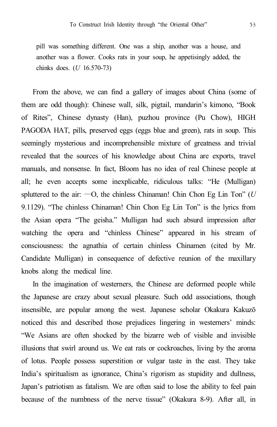pill was something different. One was a ship, another was a house, and another was a flower. Cooks rats in your soup, he appetisingly added, the chinks does. (*U* 16.570-73)

From the above, we can find a gallery of images about China (some of them are odd though): Chinese wall, silk, pigtail, mandarin's kimono, "Book of Rites", Chinese dynasty (Han), puzhou province (Pu Chow), HIGH PAGODA HAT, pills, preserved eggs (eggs blue and green), rats in soup. This seemingly mysterious and incomprehensible mixture of greatness and trivial revealed that the sources of his knowledge about China are exports, travel manuals, and nonsense. In fact, Bloom has no idea of real Chinese people at all; he even accepts some inexplicable, ridiculous talks: "He (Mulligan) spluttered to the air: ―O, the chinless Chinaman! Chin Chon Eg Lin Ton" (*U* 9.1129). "The chinless Chinaman! Chin Chon Eg Lin Ton" is the lyrics from the Asian opera "The geisha." Mulligan had such absurd impression after watching the opera and "chinless Chinese" appeared in his stream of consciousness: the agnathia of certain chinless Chinamen (cited by Mr. Candidate Mulligan) in consequence of defective reunion of the maxillary knobs along the medical line.

In the imagination of westerners, the Chinese are deformed people while the Japanese are crazy about sexual pleasure. Such odd associations, though insensible, are popular among the west. Japanese scholar Okakura Kakuzō noticed this and described those prejudices lingering in westerners' minds: "We Asians are often shocked by the bizarre web of visible and invisible illusions that swirl around us. We eat rats or cockroaches, living by the aroma of lotus. People possess superstition or vulgar taste in the east. They take India's spiritualism as ignorance, China's rigorism as stupidity and dullness, Japan's patriotism as fatalism. We are often said to lose the ability to feel pain because of the numbness of the nerve tissue" (Okakura 8-9). After all, in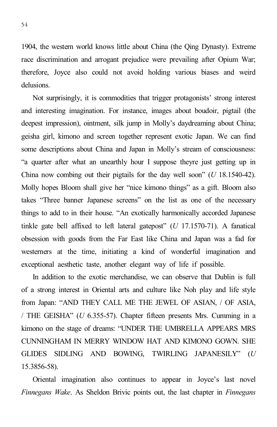1904, the western world knows little about China (the Qing Dynasty). Extreme race discrimination and arrogant prejudice were prevailing after Opium War; therefore, Joyce also could not avoid holding various biases and weird delusions.

Not surprisingly, it is commodities that trigger protagonists' strong interest and interesting imagination. For instance, images about boudoir, pigtail (the deepest impression), ointment, silk jump in Molly's daydreaming about China; geisha girl, kimono and screen together represent exotic Japan. We can find some descriptions about China and Japan in Molly's stream of consciousness: "a quarter after what an unearthly hour I suppose theyre just getting up in China now combing out their pigtails for the day well soon" (*U* 18.1540-42). Molly hopes Bloom shall give her "nice kimono things" as a gift. Bloom also takes "Three banner Japanese screens" on the list as one of the necessary things to add to in their house. "An exotically harmonically accorded Japanese tinkle gate bell affixed to left lateral gatepost" (*U* 17.1570-71). A fanatical obsession with goods from the Far East like China and Japan was a fad for westerners at the time, initiating a kind of wonderful imagination and exceptional aesthetic taste, another elegant way of life if possible.

In addition to the exotic merchandise, we can observe that Dublin is full of a strong interest in Oriental arts and culture like Noh play and life style from Japan: "AND THEY CALL ME THE JEWEL OF ASIAN, / OF ASIA, / THE GEISHA" (*U* 6.355-57). Chapter fifteen presents Mrs. Cumming in a kimono on the stage of dreams: "UNDER THE UMBRELLA APPEARS MRS CUNNINGHAM IN MERRY WINDOW HAT AND KIMONO GOWN. SHE GLIDES SIDLING AND BOWING, TWIRLING JAPANESILY" (*U* 15.3856-58).

Oriental imagination also continues to appear in Joyce's last novel *Finnegans Wake*. As Sheldon Brivic points out, the last chapter in *Finnegans*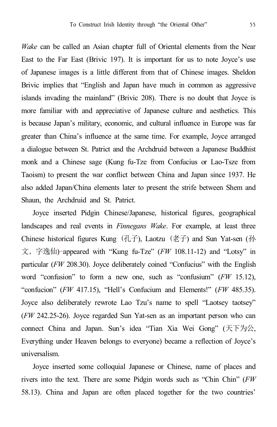*Wake* can be called an Asian chapter full of Oriental elements from the Near East to the Far East (Brivic 197). It is important for us to note Joyce's use of Japanese images is a little different from that of Chinese images. Sheldon Brivic implies that "English and Japan have much in common as aggressive islands invading the mainland" (Brivic 208). There is no doubt that Joyce is more familiar with and appreciative of Japanese culture and aesthetics. This is because Japan's military, economic, and cultural influence in Europe was far greater than China's influence at the same time. For example, Joyce arranged a dialogue between St. Patrict and the Archdruid between a Japanese Buddhist monk and a Chinese sage (Kung fu-Tze from Confucius or Lao-Tsze from Taoism) to present the war conflict between China and Japan since 1937. He also added Japan/China elements later to present the strife between Shem and Shaun, the Archdruid and St. Patrict.

Joyce inserted Pidgin Chinese/Japanese, historical figures, geographical landscapes and real events in *Finnegans Wake*. For example, at least three Chinese historical figures Kung (孔子), Laotzu (老子) and Sun Yat-sen (孙 文, 字逸仙) appeared with "Kung fu-Tze" (*FW* 108.11-12) and "Lotsy" in particular (*FW* 208.30). Joyce deliberately coined "Confucius" with the English word "confusion" to form a new one, such as "confusium" (*FW* 15.12), "confucion" (*FW* 417.15), "Hell's Confucium and Elements!" (*FW* 485.35). Joyce also deliberately rewrote Lao Tzu's name to spell "Laotsey taotsey" (*FW* 242.25-26). Joyce regarded Sun Yat-sen as an important person who can connect China and Japan. Sun's idea "Tian Xia Wei Gong" (天下为公, Everything under Heaven belongs to everyone) became a reflection of Joyce's universalism.

Joyce inserted some colloquial Japanese or Chinese, name of places and rivers into the text. There are some Pidgin words such as "Chin Chin" (*FW* 58.13). China and Japan are often placed together for the two countries'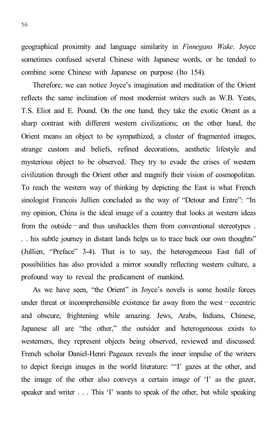geographical proximity and language similarity in *Finnegans Wake*. Joyce sometimes confused several Chinese with Japanese words, or he tended to combine some Chinese with Japanese on purpose (Ito 154).

Therefore, we can notice Joyce's imagination and meditation of the Orient reflects the same inclination of most modernist writers such as W.B. Yeats, T.S. Eliot and E. Pound. On the one hand, they take the exotic Orient as a sharp contrast with different western civilizations; on the other hand, the Orient means an object to be sympathized, a cluster of fragmented images, strange custom and beliefs, refined decorations, aesthetic lifestyle and mysterious object to be observed. They try to evade the crises of western civilization through the Orient other and magnify their vision of cosmopolitan. To reach the western way of thinking by depicting the East is what French sinologist Francois Jullien concluded as the way of "Detour and Entre": "In my opinion, China is the ideal image of a country that looks at western ideas from the outside—and thus unshackles them from conventional stereotypes . . . his subtle journey in distant lands helps us to trace back our own thoughts" (Jullien, "Preface" 3-4). That is to say, the heterogeneous East full of possibilities has also provided a mirror soundly reflecting western culture, a profound way to reveal the predicament of mankind.

As we have seen, "the Orient" in Joyce's novels is some hostile forces under threat or incomprehensible existence far away from the west—eccentric and obscure, frightening while amazing. Jews, Arabs, Indians, Chinese, Japanese all are "the other," the outsider and heterogeneous exists to westerners, they represent objects being observed, reviewed and discussed. French scholar Daniel-Henri Pageaux reveals the inner impulse of the writers to depict foreign images in the world literature: "'I' gazes at the other, and the image of the other also conveys a certain image of 'I' as the gazer, speaker and writer . . . This 'I' wants to speak of the other, but while speaking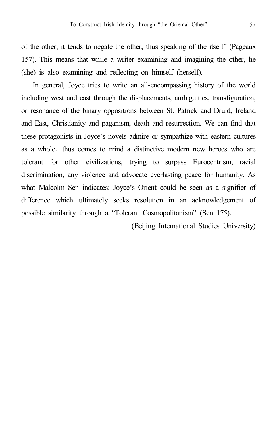of the other, it tends to negate the other, thus speaking of the itself" (Pageaux 157). This means that while a writer examining and imagining the other, he (she) is also examining and reflecting on himself (herself).

In general, Joyce tries to write an all-encompassing history of the world including west and east through the displacements, ambiguities, transfiguration, or resonance of the binary oppositions between St. Patrick and Druid, Ireland and East, Christianity and paganism, death and resurrection. We can find that these protagonists in Joyce's novels admire or sympathize with eastern cultures as a whole, thus comes to mind a distinctive modern new heroes who are tolerant for other civilizations, trying to surpass Eurocentrism, racial discrimination, any violence and advocate everlasting peace for humanity. As what Malcolm Sen indicates: Joyce's Orient could be seen as a signifier of difference which ultimately seeks resolution in an acknowledgement of possible similarity through a "Tolerant Cosmopolitanism" (Sen 175).

(Beijing International Studies University)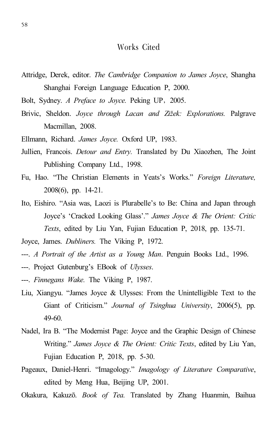#### Works Cited

Attridge, Derek, editor. *The Cambridge Companion to James Joyce*, Shangha Shanghai Foreign Language Education P, 2000.

Bolt, Sydney. *A Preface to Joyce.* Peking UP,2005.

- Brivic, Sheldon. *Joyce through Lacan and Zižek: Explorations.* Palgrave Macmillan, 2008.
- Ellmann, Richard. *James Joyce.* Oxford UP, 1983.
- Jullien, Francois. *Detour and Entry.* Translated by Du Xiaozhen, The Joint Publishing Company Ltd., 1998.
- Fu, Hao. "The Christian Elements in Yeats's Works." *Foreign Literature,* 2008(6), pp. 14-21.
- Ito, Eishiro. "Asia was, Laozi is Plurabelle's to Be: China and Japan through Joyce's 'Cracked Looking Glass'." *James Joyce & The Orient: Critic Texts*, edited by Liu Yan, Fujian Education P, 2018, pp. 135-71.
- Joyce, James. *Dubliners.* The Viking P, 1972.
- ---. *A Portrait of the Artist as a Young Man*. Penguin Books Ltd., 1996.
- ---. Project Gutenburg's EBook of *Ulysses*.
- ---. *Finnegans Wake.* The Viking P, 1987.
- Liu, Xiangyu. "James Joyce & Ulysses: From the Unintelligible Text to the Giant of Criticism." *Journal of Tsinghua University*, 2006(5), pp. 49-60.
- Nadel, Ira B. "The Modernist Page: Joyce and the Graphic Design of Chinese Writing." *James Joyce & The Orient: Critic Texts*, edited by Liu Yan, Fujian Education P, 2018, pp. 5-30.
- Pageaux, Daniel-Henri. "Imagology." *Imagology of Literature Comparative*, edited by Meng Hua, Beijing UP, 2001.
- Okakura, Kakuzō. *Book of Tea.* Translated by Zhang Huanmin, Baihua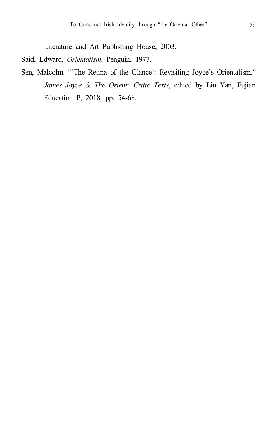Literature and Art Publishing House, 2003.

Said, Edward. *Orientalism*. Penguin, 1977.

Sen, Malcolm. "'The Retina of the Glance': Revisiting Joyce's Orientalism." *James Joyce & The Orient: Critic Texts*, edited by Liu Yan, Fujian Education P, 2018, pp. 54-68.